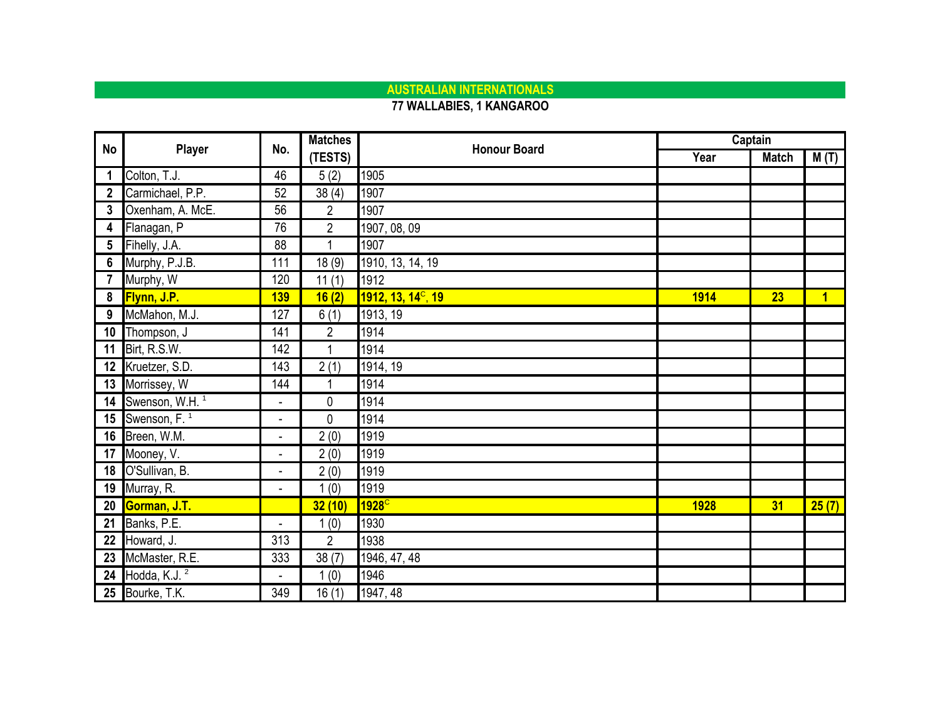### **AUSTRALIAN INTERNATIONALS**

#### **77 WALLABIES, 1 KANGAROO**

| <b>No</b>       | Player                        | No.                      | <b>Matches</b> | <b>Honour Board</b>            |      | Captain      |                |
|-----------------|-------------------------------|--------------------------|----------------|--------------------------------|------|--------------|----------------|
|                 |                               |                          | (TESTS)        |                                | Year | <b>Match</b> | M(T)           |
|                 | Colton, T.J.                  | 46                       | 5(2)           | 1905                           |      |              |                |
| $\mathbf{2}$    | Carmichael, P.P.              | 52                       | 38(4)          | 1907                           |      |              |                |
| 3               | Oxenham, A. McE.              | 56                       | $\overline{2}$ | 1907                           |      |              |                |
| 4               | Flanagan, P                   | 76                       | $\overline{2}$ | 1907, 08, 09                   |      |              |                |
| 5               | Fihelly, J.A.                 | 88                       | 1              | 1907                           |      |              |                |
| 6               | Murphy, P.J.B.                | 111                      | 18(9)          | 1910, 13, 14, 19               |      |              |                |
|                 | Murphy, W                     | 120                      | 11(1)          | 1912                           |      |              |                |
| 8               | <b>Flynn, J.P.</b>            | 139                      | 16(2)          | 1912, 13, 14 <sup>c</sup> , 19 | 1914 | 23           | $\overline{1}$ |
| 9               | McMahon, M.J.                 | 127                      | 6(1)           | 1913, 19                       |      |              |                |
| 10 <sup>°</sup> | Thompson, J                   | 141                      | $\overline{2}$ | 1914                           |      |              |                |
|                 | 11 Birt, R.S.W.               | 142                      | $\mathbf{1}$   | 1914                           |      |              |                |
|                 | 12 Kruetzer, S.D.             | 143                      | 2(1)           | 1914, 19                       |      |              |                |
|                 | 13 Morrissey, W               | 144                      | 1              | 1914                           |      |              |                |
|                 | 14 Swenson, W.H. <sup>1</sup> | $\overline{\phantom{0}}$ | 0              | 1914                           |      |              |                |
|                 | 15 Swenson, $F1$              | $\blacksquare$           | 0              | 1914                           |      |              |                |
|                 | 16 Breen, W.M.                | ä,                       | 2(0)           | 1919                           |      |              |                |
|                 | 17 Mooney, V.                 | -                        | 2(0)           | 1919                           |      |              |                |
| 18              | O'Sullivan, B.                | $\blacksquare$           | 2(0)           | 1919                           |      |              |                |
|                 | 19 Murray, R.                 |                          | 1(0)           | 1919                           |      |              |                |
|                 | 20 Gorman, J.T.               |                          | 32(10)         | 1928                           | 1928 | 31           | 25(7)          |
|                 | 21 Banks, P.E.                | $\overline{\phantom{a}}$ | 1(0)           | 1930                           |      |              |                |
|                 | 22 Howard, J.                 | 313                      | $\overline{2}$ | 1938                           |      |              |                |
| 23              | McMaster, R.E.                | 333                      | 38(7)          | 1946, 47, 48                   |      |              |                |
|                 | 24 Hodda, K.J. $^2$           |                          | 1(0)           | 1946                           |      |              |                |
|                 | 25 Bourke, T.K.               | 349                      | 16(1)          | 1947, 48                       |      |              |                |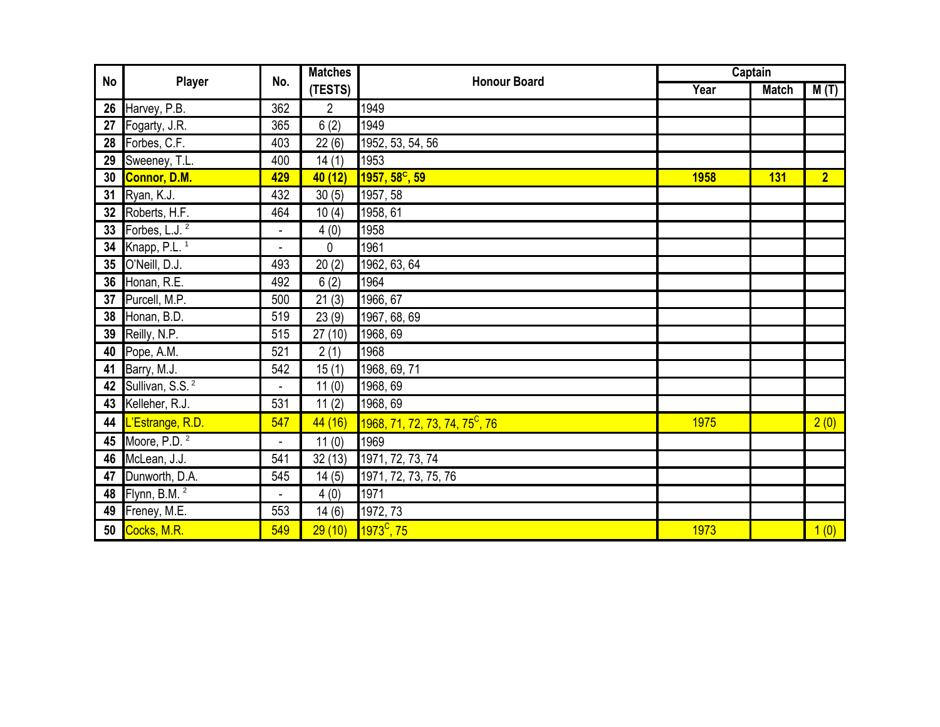| No |                                | No.                      | <b>Matches</b> | <b>Honour Board</b>                        |             | Captain      |                |
|----|--------------------------------|--------------------------|----------------|--------------------------------------------|-------------|--------------|----------------|
|    | Player                         |                          | (TESTS)        |                                            | Year        | <b>Match</b> | M(T)           |
|    | 26 Harvey, P.B.                | 362                      | $\overline{2}$ | 1949                                       |             |              |                |
| 27 | Fogarty, J.R.                  | 365                      | 6(2)           | 1949                                       |             |              |                |
| 28 | Forbes, C.F.                   | 403                      | 22(6)          | 1952, 53, 54, 56                           |             |              |                |
|    | 29 Sweeney, T.L.               | 400                      | 14(1)          | 1953                                       |             |              |                |
| 30 | Connor, D.M.                   | 429                      | 40 (12)        | $1957, 58^{\circ}, 59$                     | <b>1958</b> | <b>131</b>   | $\overline{2}$ |
| 31 | Ryan, K.J.                     | 432                      | 30(5)          | 1957, 58                                   |             |              |                |
|    | 32 Roberts, H.F.               | 464                      | 10(4)          | 1958, 61                                   |             |              |                |
| 33 | Forbes, L.J. <sup>2</sup>      | $\blacksquare$           | 4(0)           | 1958                                       |             |              |                |
| 34 | Knapp, P.L. <sup>1</sup>       |                          | 0              | 1961                                       |             |              |                |
|    | 35 O'Neill, D.J.               | 493                      | 20(2)          | 1962, 63, 64                               |             |              |                |
|    | 36 Honan, R.E.                 | 492                      | 6(2)           | 1964                                       |             |              |                |
| 37 | Purcell, M.P.                  | 500                      | 21(3)          | 1966, 67                                   |             |              |                |
| 38 | Honan, B.D.                    | 519                      | 23(9)          | 1967, 68, 69                               |             |              |                |
| 39 | Reilly, N.P.                   | 515                      | 27(10)         | 1968, 69                                   |             |              |                |
| 40 | Pope, A.M.                     | 521                      | 2(1)           | 1968                                       |             |              |                |
| 41 | Barry, M.J.                    | 542                      | 15(1)          | 1968, 69, 71                               |             |              |                |
|    | 42 Sullivan, S.S. <sup>2</sup> |                          | 11(0)          | 1968, 69                                   |             |              |                |
|    | 43 Kelleher, R.J.              | 531                      | 11(2)          | 1968, 69                                   |             |              |                |
|    | 44   L'Estrange, R.D.          | 547                      | 44(16)         | 1968, 71, 72, 73, 74, 75 <sup>c</sup> , 76 | 1975        |              | 2(0)           |
|    | 45 Moore, P.D. $2$             | $\blacksquare$           | 11(0)          | 1969                                       |             |              |                |
|    | 46 McLean, J.J.                | 541                      | 32(13)         | 1971, 72, 73, 74                           |             |              |                |
| 47 | Dunworth, D.A.                 | 545                      | 14(5)          | 1971, 72, 73, 75, 76                       |             |              |                |
|    | 48 Flynn, B.M. <sup>2</sup>    | $\overline{\phantom{a}}$ | 4(0)           | 1971                                       |             |              |                |
|    | 49 Freney, M.E.                | 553                      | 14(6)          | 1972, 73                                   |             |              |                |
|    | 50 Cocks, M.R.                 | 549                      | 29(10)         | $1973^{\circ}$ , 75                        | 1973        |              | 1(0)           |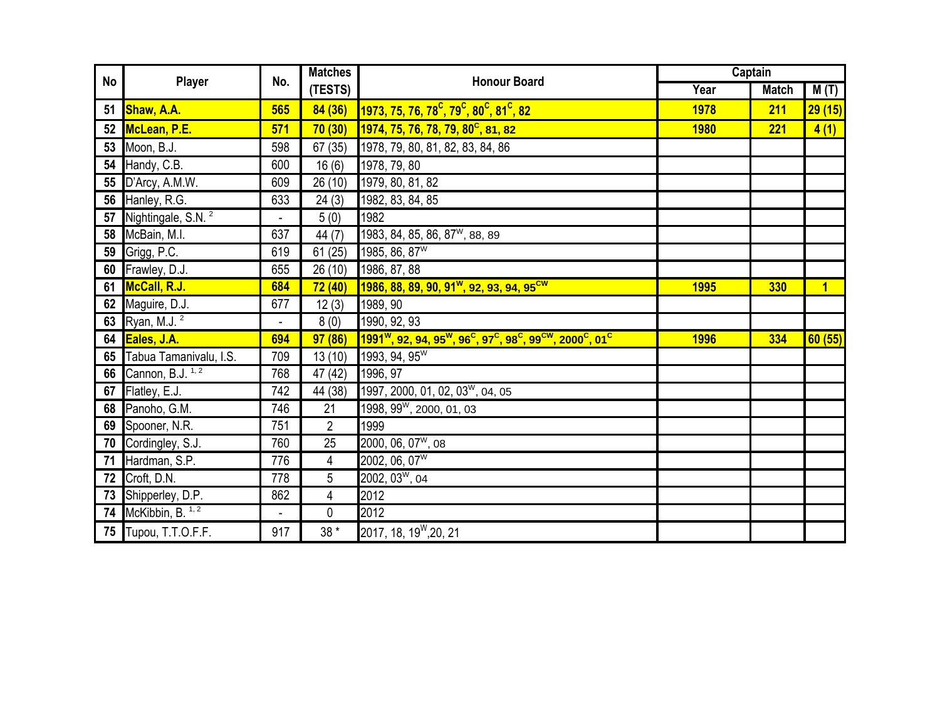|    |                                |                          | <b>Matches</b>       |                                                                                                                                                            |             | Captain      |                |
|----|--------------------------------|--------------------------|----------------------|------------------------------------------------------------------------------------------------------------------------------------------------------------|-------------|--------------|----------------|
| No | Player                         | No.                      | (TESTS)              | <b>Honour Board</b>                                                                                                                                        | Year        | <b>Match</b> | M(T)           |
|    | 51 Shaw, A.A.                  | 565                      | 84(36)               | 1973, 75, 76, 78 <sup>c</sup> , 79 <sup>c</sup> , 80 <sup>c</sup> , 81 <sup>c</sup> , 82                                                                   | 1978        | 211          | 29(15)         |
|    | 52 McLean, P.E.                | 571                      | 70(30)               | 1974, 75, 76, 78, 79, 80 <sup>c</sup> , 81, 82                                                                                                             | <b>1980</b> | 221          | 4(1)           |
|    | 53 Moon, B.J.                  | 598                      | 67 (35)              | 1978, 79, 80, 81, 82, 83, 84, 86                                                                                                                           |             |              |                |
| 54 | Handy, C.B.                    | 600                      | 16(6)                | 1978, 79, 80                                                                                                                                               |             |              |                |
| 55 | D'Arcy, A.M.W.                 | 609                      | $\overline{26}$ (10) | 1979, 80, 81, 82                                                                                                                                           |             |              |                |
|    | 56 Hanley, R.G.                | 633                      | 24(3)                | 1982, 83, 84, 85                                                                                                                                           |             |              |                |
| 57 | Nightingale, S.N. <sup>2</sup> | $\overline{\phantom{a}}$ | 5(0)                 | 1982                                                                                                                                                       |             |              |                |
| 58 | McBain, M.I.                   | 637                      | 44 (7)               | 1983, 84, 85, 86, 87 <sup>w</sup> , 88, 89                                                                                                                 |             |              |                |
|    | <b>59</b> Grigg, P.C.          | 619                      | 61(25)               | 1985, 86, 87 <sup>W</sup>                                                                                                                                  |             |              |                |
|    | 60 Frawley, D.J.               | 655                      | 26(10)               | 1986, 87, 88                                                                                                                                               |             |              |                |
|    | 61 McCall, R.J.                | 684                      | 72(40)               | 1986, 88, 89, 90, 91 <sup>w</sup> , 92, 93, 94, 95 <sup>cw</sup>                                                                                           | 1995        | <b>330</b>   | $\overline{1}$ |
|    | 62 Maguire, D.J.               | 677                      | 12(3)                | 1989, 90                                                                                                                                                   |             |              |                |
|    | 63 Ryan, M.J. <sup>2</sup>     | $\overline{\phantom{a}}$ | 8(0)                 | 1990, 92, 93                                                                                                                                               |             |              |                |
|    | 64 Eales, J.A.                 | 694                      | 97(86)               | 1991 <sup>w</sup> , 92, 94, 95 <sup>w</sup> , 96 <sup>c</sup> , 97 <sup>c</sup> , 98 <sup>c</sup> , 99 <sup>cw</sup> , 2000 <sup>c</sup> , 01 <sup>c</sup> | <b>1996</b> | 334          | 60(55)         |
| 65 | Tabua Tamanivalu, I.S.         | 709                      | 13(10)               | 1993, 94, 95 <sup>W</sup>                                                                                                                                  |             |              |                |
|    | 66 Cannon, B.J. <sup>1,2</sup> | 768                      | 47 (42)              | 1996, 97                                                                                                                                                   |             |              |                |
|    | 67 Flatley, E.J.               | 742                      | 44 (38)              | 1997, 2000, 01, 02, 03 <sup>w</sup> , 04, 05                                                                                                               |             |              |                |
|    | 68 Panoho, G.M.                | 746                      | 21                   | 1998, 99 <sup>w</sup> , 2000, 01, 03                                                                                                                       |             |              |                |
|    | 69 Spooner, N.R.               | 751                      | $\overline{2}$       | 1999                                                                                                                                                       |             |              |                |
|    | 70 Cordingley, S.J.            | 760                      | 25                   | 2000, 06, 07 <sup>w</sup> , 08                                                                                                                             |             |              |                |
| 71 | Hardman, S.P.                  | 776                      | 4                    | 2002, 06, 07 <sup>W</sup>                                                                                                                                  |             |              |                |
| 72 | Croft, D.N.                    | 778                      | 5                    | 2002, 03 <sup>w</sup> , 04                                                                                                                                 |             |              |                |
| 73 | Shipperley, D.P.               | 862                      | 4                    | 2012                                                                                                                                                       |             |              |                |
|    | 74 McKibbin, B. $1, 2$         | $\blacksquare$           | 0                    | 2012                                                                                                                                                       |             |              |                |
|    | 75 Tupou, T.T.O.F.F.           | 917                      | 38 *                 | 2017, 18, 19 <sup>W</sup> , 20, 21                                                                                                                         |             |              |                |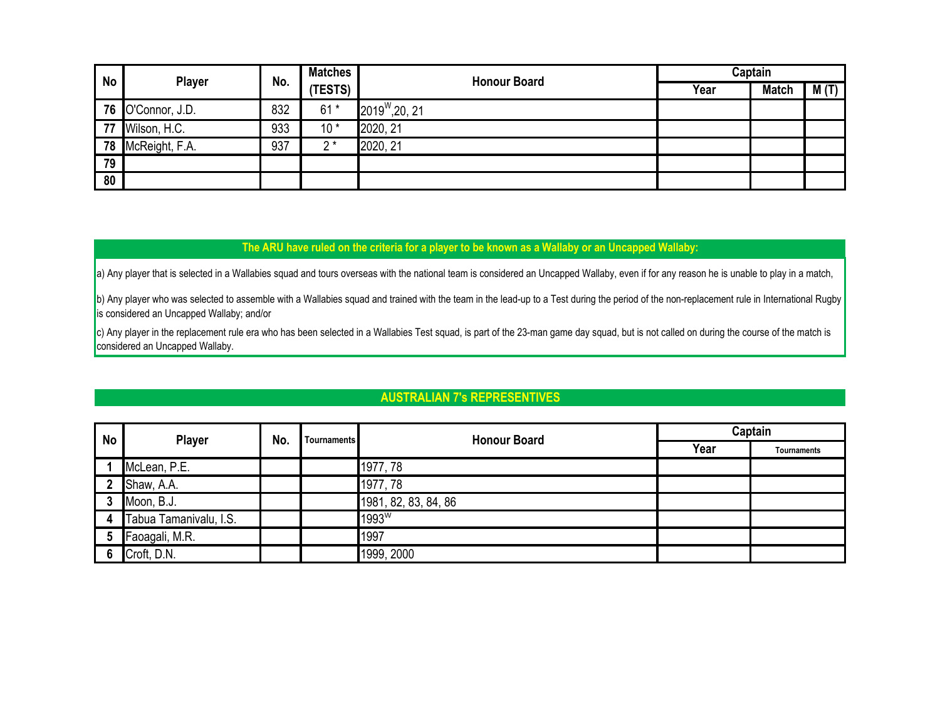| No | <b>Player</b>     | No. | <b>Matches</b> | <b>Honour Board</b>        | Captain |              |      |  |
|----|-------------------|-----|----------------|----------------------------|---------|--------------|------|--|
|    |                   |     | (TESTS)        |                            | Year    | <b>Match</b> | M(T) |  |
|    | 76 O'Connor, J.D. | 832 | $61*$          | $2019^{\text{W}}$ , 20, 21 |         |              |      |  |
| 77 | Wilson, H.C.      | 933 | $10*$          | 2020, 21                   |         |              |      |  |
|    | 78 McReight, F.A. | 937 | ′ *            | 2020, 21                   |         |              |      |  |
| 79 |                   |     |                |                            |         |              |      |  |
| 80 |                   |     |                |                            |         |              |      |  |

#### **The ARU have ruled on the criteria for a player to be known as a Wallaby or an Uncapped Wallaby:**

a) Any player that is selected in a Wallabies squad and tours overseas with the national team is considered an Uncapped Wallaby, even if for any reason he is unable to play in a match,

b) Any player who was selected to assemble with a Wallabies squad and trained with the team in the lead-up to a Test during the period of the non-replacement rule in International Rugby is considered an Uncapped Wallaby; and/or

c) Any player in the replacement rule era who has been selected in a Wallabies Test squad, is part of the 23-man game day squad, but is not called on during the course of the match is considered an Uncapped Wallaby.

#### **AUSTRALIAN 7's REPRESENTIVES**

| <b>No</b> | <b>Player</b>          | No. | <b>Tournaments</b> | <b>Honour Board</b>  | Captain |             |  |
|-----------|------------------------|-----|--------------------|----------------------|---------|-------------|--|
|           |                        |     |                    |                      | Year    | Tournaments |  |
|           | McLean, P.E.           |     |                    | 1977, 78             |         |             |  |
| 2         | Shaw, A.A.             |     |                    | 1977, 78             |         |             |  |
| 3         | Moon, B.J.             |     |                    | 1981, 82, 83, 84, 86 |         |             |  |
| 4         | Tabua Tamanivalu, I.S. |     |                    | 1993W                |         |             |  |
| 5         | Faoagali, M.R.         |     |                    | 1997                 |         |             |  |
| 6         | Croft, D.N.            |     |                    | 1999, 2000           |         |             |  |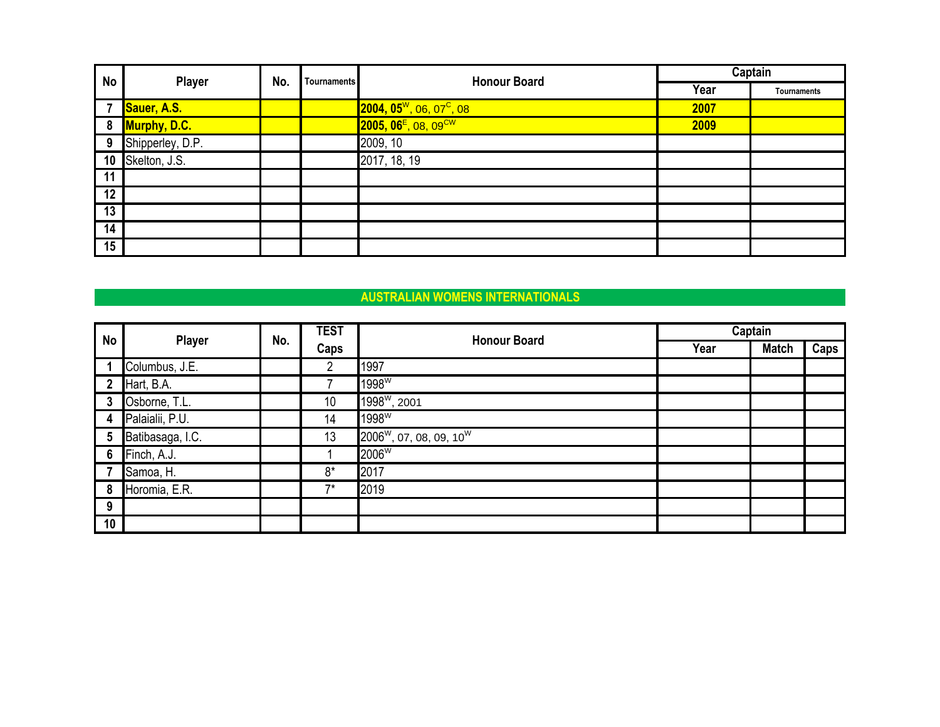| <b>No</b> | <b>Player</b>    | No. | <b>Tournaments</b> | <b>Honour Board</b>                            | Captain |             |  |
|-----------|------------------|-----|--------------------|------------------------------------------------|---------|-------------|--|
|           |                  |     |                    |                                                | Year    | Tournaments |  |
| 7         | Sauer, A.S.      |     |                    | $2004, 05^{\rm W}$ , 06, 07 <sup>C</sup> , 08  | 2007    |             |  |
| 8         | Murphy, D.C.     |     |                    | $2005, 06$ <sup>E</sup> , 08, 09 <sup>CW</sup> | 2009    |             |  |
| 9         | Shipperley, D.P. |     |                    | 2009, 10                                       |         |             |  |
| 10        | Skelton, J.S.    |     |                    | 2017, 18, 19                                   |         |             |  |
| 11        |                  |     |                    |                                                |         |             |  |
| 12        |                  |     |                    |                                                |         |             |  |
| 13        |                  |     |                    |                                                |         |             |  |
| 14        |                  |     |                    |                                                |         |             |  |
| 15        |                  |     |                    |                                                |         |             |  |

## **AUSTRALIAN WOMENS INTERNATIONALS**

| <b>No</b>   |                  |     | <b>TEST</b>    | <b>Honour Board</b>                             |      | Captain      |      |
|-------------|------------------|-----|----------------|-------------------------------------------------|------|--------------|------|
|             | <b>Player</b>    | No. | Caps           |                                                 | Year | <b>Match</b> | Caps |
|             | Columbus, J.E.   |     | $\overline{2}$ | 1997                                            |      |              |      |
| $\mathbf 2$ | Hart, B.A.       |     |                | 1998 <sup>W</sup>                               |      |              |      |
| 3           | Osborne, T.L.    |     | 10             | 1998 <sup>w</sup> , 2001                        |      |              |      |
| 4           | Palaialii, P.U.  |     | 14             | 1998 <sup>W</sup>                               |      |              |      |
| 5           | Batibasaga, I.C. |     | 13             | 2006 <sup>W</sup> , 07, 08, 09, 10 <sup>W</sup> |      |              |      |
| 6           | Finch, A.J.      |     |                | 2006W                                           |      |              |      |
|             | Samoa, H.        |     | $8*$           | 2017                                            |      |              |      |
| 8           | Horomia, E.R.    |     | $7*$           | 2019                                            |      |              |      |
| 9           |                  |     |                |                                                 |      |              |      |
| 10          |                  |     |                |                                                 |      |              |      |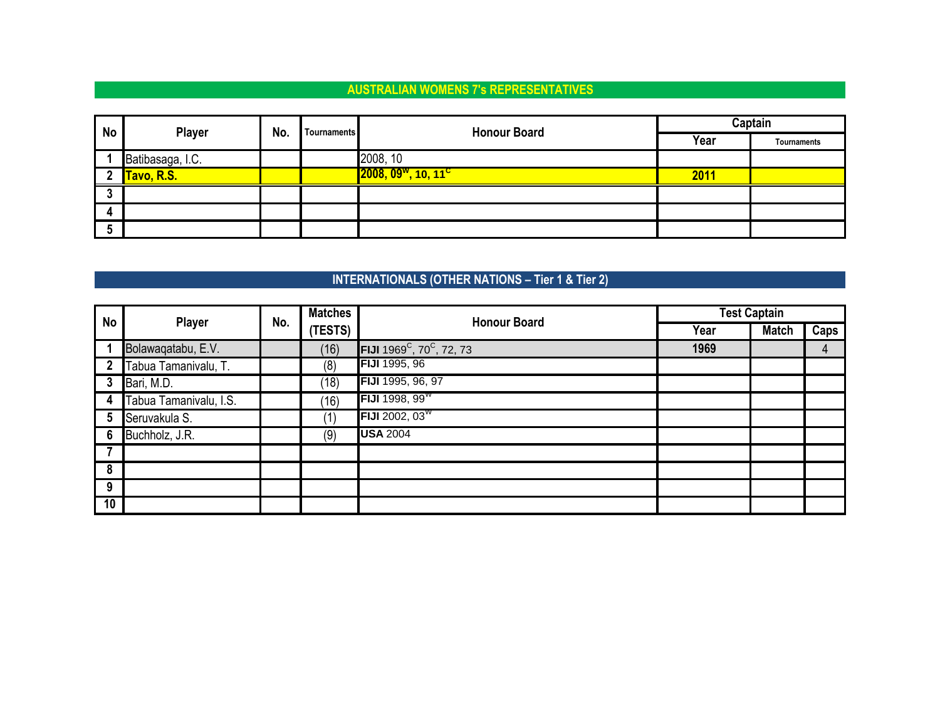## **AUSTRALIAN WOMENS 7's REPRESENTATIVES**

| <b>No</b>    | <b>Player</b>    | No.<br>Tournaments | <b>Honour Board</b>                         | Captain |             |  |
|--------------|------------------|--------------------|---------------------------------------------|---------|-------------|--|
|              |                  |                    |                                             | Year    | Tournaments |  |
|              | Batibasaga, I.C. |                    | 2008, 10                                    |         |             |  |
| $\mathbf{2}$ | Tavo, R.S.       |                    | 2008, 09 <sup>w</sup> , 10, 11 <sup>c</sup> | 2011    |             |  |
| J            |                  |                    |                                             |         |             |  |
| Д.           |                  |                    |                                             |         |             |  |
| 5            |                  |                    |                                             |         |             |  |

# **INTERNATIONALS (OTHER NATIONS – Tier 1 & Tier 2)**

| <b>No</b>    | Player                 | No. | <b>Matches</b> | <b>Honour Board</b>                               | <b>Test Captain</b> |              |      |
|--------------|------------------------|-----|----------------|---------------------------------------------------|---------------------|--------------|------|
|              |                        |     | (TESTS)        |                                                   | Year                | <b>Match</b> | Caps |
|              | Bolawaqatabu, E.V.     |     | (16)           | FIJI 1969 <sup>C</sup> , 70 <sup>C</sup> , 72, 73 | 1969                |              | 4    |
| $\mathbf{2}$ | Tabua Tamanivalu, T.   |     | (8)            | <b>FIJI</b> 1995, 96                              |                     |              |      |
| 3            | Bari, M.D.             |     | (18)           | FIJI 1995, 96, 97                                 |                     |              |      |
| 4            | Tabua Tamanivalu, I.S. |     | (16)           | FIJI 1998, 99 <sup>w</sup>                        |                     |              |      |
| 5            | Seruvakula S.          |     | (1)            | <b>FIJI</b> 2002, 03 $^{\prime\prime\prime}$      |                     |              |      |
| 6            | Buchholz, J.R.         |     | (9)            | <b>USA 2004</b>                                   |                     |              |      |
|              |                        |     |                |                                                   |                     |              |      |
| 8            |                        |     |                |                                                   |                     |              |      |
| 9            |                        |     |                |                                                   |                     |              |      |
| 10           |                        |     |                |                                                   |                     |              |      |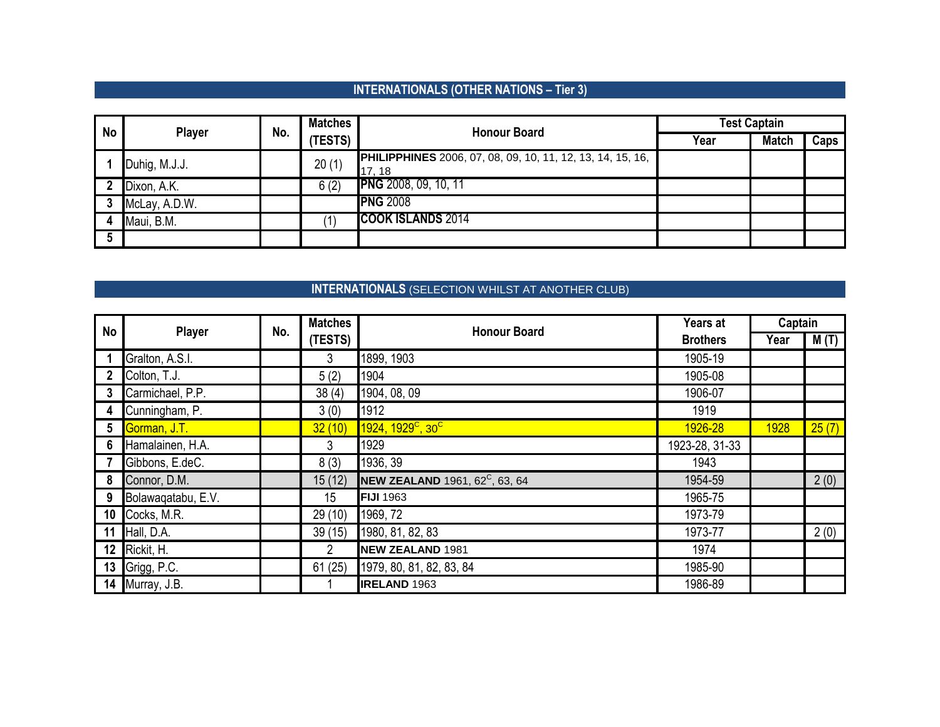# **INTERNATIONALS (OTHER NATIONS – Tier 3)**

| <b>No</b> | <b>Player</b> | No. | <b>Matches</b> | <b>Honour Board</b>                                        | Test Captain |              |      |  |
|-----------|---------------|-----|----------------|------------------------------------------------------------|--------------|--------------|------|--|
|           |               |     | (TESTS)        |                                                            | Year         | <b>Match</b> | Caps |  |
|           | Duhig, M.J.J. |     | 20(1)          | PHILIPPHINES 2006, 07, 08, 09, 10, 11, 12, 13, 14, 15, 16, |              |              |      |  |
|           |               |     |                | 17.18                                                      |              |              |      |  |
|           | Dixon, A.K.   |     | 6(2)           | <b>PNG</b> 2008, 09, 10, 11                                |              |              |      |  |
|           | McLay, A.D.W. |     |                | <b>PNG 2008</b>                                            |              |              |      |  |
|           | Maui, B.M.    |     |                | <b>COOK ISLANDS 2014</b>                                   |              |              |      |  |
| 5         |               |     |                |                                                            |              |              |      |  |

## **INTERNATIONALS** (SELECTION WHILST AT ANOTHER CLUB)

| <b>No</b>       |                    | No. | <b>Matches</b> |                                                   | Years at        | Captain |       |
|-----------------|--------------------|-----|----------------|---------------------------------------------------|-----------------|---------|-------|
|                 | <b>Player</b>      |     | (TESTS)        | <b>Honour Board</b>                               | <b>Brothers</b> | Year    | M(T)  |
|                 | Gralton, A.S.I.    |     | 3              | 1899, 1903                                        | 1905-19         |         |       |
| 2               | Colton, T.J.       |     | 5(2)           | 1904                                              | 1905-08         |         |       |
| 3               | Carmichael, P.P.   |     | 38(4)          | 1904, 08, 09                                      | 1906-07         |         |       |
| 4               | Cunningham, P.     |     | 3(0)           | 1912                                              | 1919            |         |       |
| 5               | Gorman, J.T.       |     | 32(10)         | 1924, 1929 <sup>c</sup> , 30 <sup>c</sup>         | 1926-28         | 1928    | 25(7) |
| 6               | Hamalainen, H.A.   |     | 3              | 1929                                              | 1923-28, 31-33  |         |       |
|                 | Gibbons, E.deC.    |     | 8(3)           | 1936, 39                                          | 1943            |         |       |
| 8               | Connor, D.M.       |     | 15(12)         | <b>NEW ZEALAND</b> 1961, 62 <sup>C</sup> , 63, 64 | 1954-59         |         | 2(0)  |
| 9               | Bolawaqatabu, E.V. |     | 15             | <b>FIJI 1963</b>                                  | 1965-75         |         |       |
| 10              | Cocks, M.R.        |     | 29 (10)        | 1969, 72                                          | 1973-79         |         |       |
| 11              | Hall, D.A.         |     | 39(15)         | 1980, 81, 82, 83                                  | 1973-77         |         | 2(0)  |
| 12 <sup>°</sup> | Rickit, H.         |     | 2              | <b>NEW ZEALAND 1981</b>                           | 1974            |         |       |
| 13              | Grigg, P.C.        |     | 61(25)         | 1979, 80, 81, 82, 83, 84                          | 1985-90         |         |       |
| 14              | Murray, J.B.       |     |                | <b>IRELAND 1963</b>                               | 1986-89         |         |       |